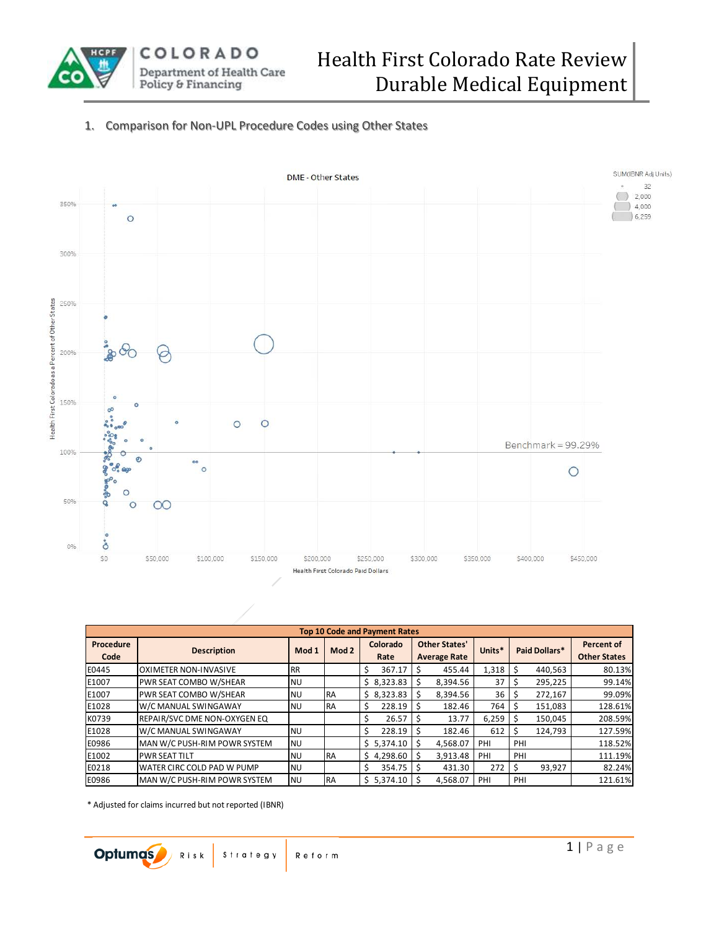

## 1. Comparison for Non-UPL Procedure Codes using Other States



|                   | <b>Top 10 Code and Payment Rates</b><br>Colorado<br><b>Other States'</b><br>Percent of<br>Units*<br>Paid Dollars*<br><b>Description</b><br>Mod 2<br>Mod 1<br><b>Other States</b><br><b>Average Rate</b><br>Rate<br>1,318<br>80.13%<br>367.17<br>440,563<br>455.44<br>Ś<br><b>RR</b><br>\$8,323.83<br>37<br>295,225<br>8,394.56<br>99.14%<br><b>NU</b><br>36<br>\$8,323.83<br>99.09%<br>8,394.56<br><b>RA</b><br>272,167<br><b>NU</b><br>128.61%<br>228.19<br>182.46<br>764<br>151.083<br>RA<br><b>NU</b> |           |           |  |            |  |          |       |     |         |         |
|-------------------|----------------------------------------------------------------------------------------------------------------------------------------------------------------------------------------------------------------------------------------------------------------------------------------------------------------------------------------------------------------------------------------------------------------------------------------------------------------------------------------------------------|-----------|-----------|--|------------|--|----------|-------|-----|---------|---------|
| Procedure<br>Code |                                                                                                                                                                                                                                                                                                                                                                                                                                                                                                          |           |           |  |            |  |          |       |     |         |         |
| E0445             | <b>OXIMETER NON-INVASIVE</b>                                                                                                                                                                                                                                                                                                                                                                                                                                                                             |           |           |  |            |  |          |       |     |         |         |
| E1007             | PWR SEAT COMBO W/SHEAR                                                                                                                                                                                                                                                                                                                                                                                                                                                                                   |           |           |  |            |  |          |       |     |         |         |
| E1007             | PWR SEAT COMBO W/SHEAR                                                                                                                                                                                                                                                                                                                                                                                                                                                                                   |           |           |  |            |  |          |       |     |         |         |
| E1028             | W/C MANUAL SWINGAWAY                                                                                                                                                                                                                                                                                                                                                                                                                                                                                     |           |           |  |            |  |          |       |     |         |         |
| K0739             | REPAIR/SVC DME NON-OXYGEN EQ                                                                                                                                                                                                                                                                                                                                                                                                                                                                             |           |           |  | 26.57      |  | 13.77    | 6,259 |     | 150,045 | 208.59% |
| E1028             | W/C MANUAL SWINGAWAY                                                                                                                                                                                                                                                                                                                                                                                                                                                                                     | <b>NU</b> |           |  | 228.19     |  | 182.46   | 612   |     | 124.793 | 127.59% |
| E0986             | MAN W/C PUSH-RIM POWR SYSTEM                                                                                                                                                                                                                                                                                                                                                                                                                                                                             | <b>NU</b> |           |  | \$5.374.10 |  | 4,568.07 | PHI   | PHI |         | 118.52% |
| E1002             | <b>PWR SEAT TILT</b>                                                                                                                                                                                                                                                                                                                                                                                                                                                                                     | <b>NU</b> | <b>RA</b> |  | 4,298.60   |  | 3,913.48 | PHI   | PHI |         | 111.19% |
| E0218             | WATER CIRC COLD PAD W PUMP                                                                                                                                                                                                                                                                                                                                                                                                                                                                               | <b>NU</b> |           |  | 354.75     |  | 431.30   | 272   |     | 93,927  | 82.24%  |
| E0986             | IMAN W/C PUSH-RIM POWR SYSTEM                                                                                                                                                                                                                                                                                                                                                                                                                                                                            | <b>NU</b> | <b>RA</b> |  | \$5.374.10 |  | 4.568.07 | PHI   | PHI |         | 121.61% |

\* Adjusted for claims incurred but not reported (IBNR)

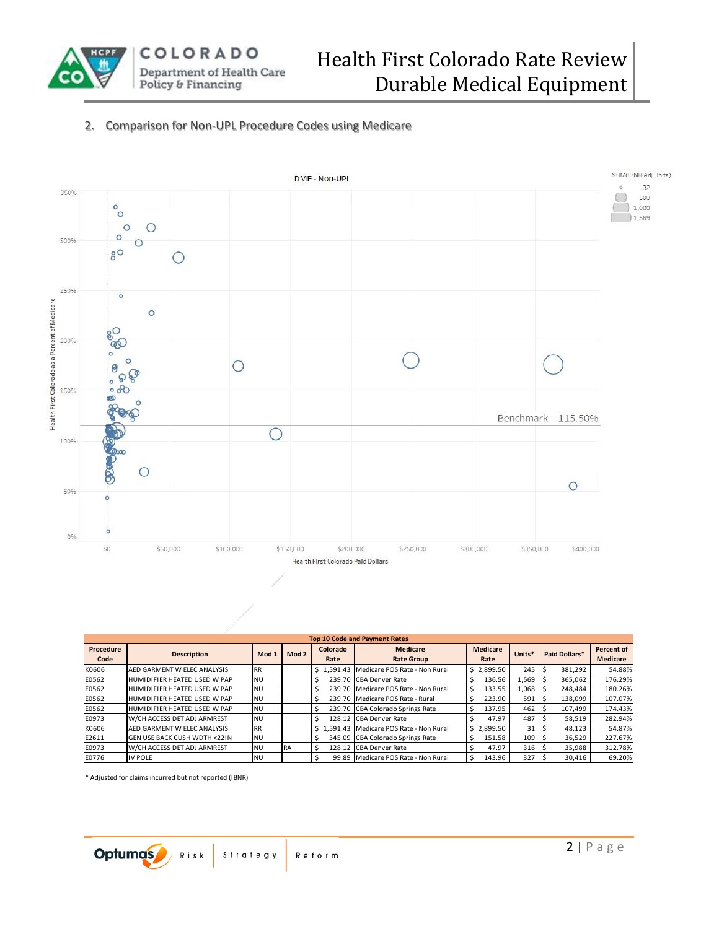

## 2. Comparison for Non-UPL Procedure Codes using Medicare



|                   |                               |           |           |                  | <b>Top 10 Code and Payment Rates</b>     |                  |                 |               |                        |
|-------------------|-------------------------------|-----------|-----------|------------------|------------------------------------------|------------------|-----------------|---------------|------------------------|
| Procedure<br>Code | <b>Description</b>            | Mod 1     | Mod 2     | Colorado<br>Rate | <b>Medicare</b><br><b>Rate Group</b>     | Medicare<br>Rate | Units*          | Paid Dollars* | Percent of<br>Medicare |
|                   |                               |           |           |                  |                                          |                  |                 |               |                        |
| K0606             | AED GARMENT W ELEC ANALYSIS   | <b>RR</b> |           |                  | \$1.591.43 Medicare POS Rate - Non Rural | \$2.899.50       | 245             | 381.292       | 54.88%                 |
| E0562             | HUMIDIFIER HEATED USED W PAP  | <b>NU</b> |           |                  | 239.70 CBA Denver Rate                   | 136.56           | 1,569           | 365.062       | 176.29%                |
| E0562             | HUMIDIFIER HEATED USED W PAP  | <b>NU</b> |           |                  | 239.70 Medicare POS Rate - Non Rural     | 133.55           | 1,068           | 248.484       | 180.26%                |
| E0562             | HUMIDIFIER HEATED USED W PAP  | <b>NU</b> |           |                  | 239.70 Medicare POS Rate - Rural         | 223.90           | 591             | 138,099       | 107.07%                |
| E0562             | HUMIDIFIER HEATED USED W PAP  | <b>NU</b> |           |                  | 239.70 CBA Colorado Springs Rate         | 137.95           | 462             | 107.499       | 174.43%                |
| E0973             | W/CH ACCESS DET ADJ ARMREST   | <b>NU</b> |           |                  | 128.12 CBA Denver Rate                   | 47.97            | 487             | 58,519        | 282.94%                |
| K0606             | AED GARMENT W ELEC ANALYSIS   | <b>RR</b> |           |                  | \$1.591.43 Medicare POS Rate - Non Rural | \$2.899.50       | 31 <sup>1</sup> | 48.123        | 54.87%                 |
| E2611             | lgen use back cush wdth <22IN | NU        |           |                  | 345.09 CBA Colorado Springs Rate         | 151.58           | 109             | 36,529        | 227.67%                |
| E0973             | W/CH ACCESS DET ADJ ARMREST   | <b>NU</b> | <b>RA</b> |                  | 128.12 CBA Denver Rate                   | 47.97            | 316             | 35,988        | 312.78%                |
| E0776             | IV POLE                       | <b>NU</b> |           |                  | 99.89 Medicare POS Rate - Non Rural      | 143.96           | 327             | 30,416        | 69.20%                 |

\* Adjusted for claims incurred but not reported (IBNR)